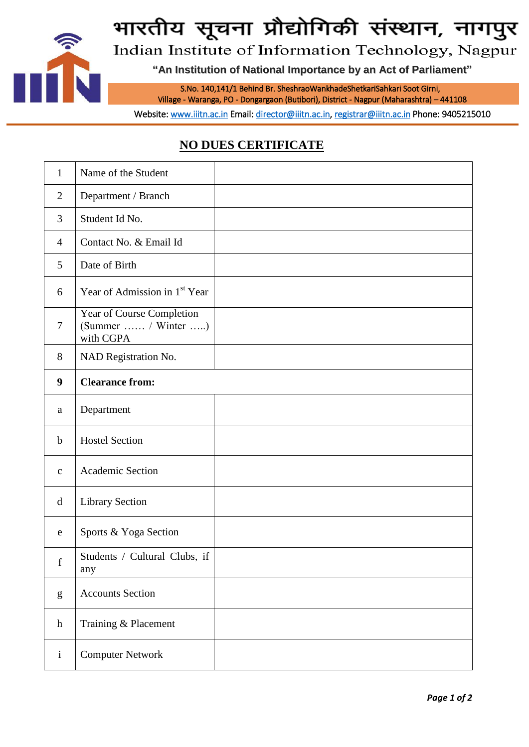

# भारतीय सूचना प्रौद्योगिकी संस्थान, नागपुर

Indian Institute of Information Technology, Nagpur

**"An Institution of National Importance by an Act of Parliament"**

S.No. 140,141/1 Behind Br. SheshraoWankhadeShetkariSahkari Soot Girni,

Village - Waranga, PO - Dongargaon (Butibori), District - Nagpur (Maharashtra) – 441108

Website: [www.iiitn.ac.in](http://www.iiitn.ac.in/) Email: [director@iiitn.ac.in,](mailto:director@iiitn.ac.in) [registrar@iiitn.ac.in](mailto:registrar@iiitn.ac.in) Phone: 9405215010

# **NO DUES CERTIFICATE**

| $\mathbf{1}$     | Name of the Student                                           |  |
|------------------|---------------------------------------------------------------|--|
| $\overline{2}$   | Department / Branch                                           |  |
| 3                | Student Id No.                                                |  |
| $\overline{4}$   | Contact No. & Email Id                                        |  |
| 5                | Date of Birth                                                 |  |
| 6                | Year of Admission in 1 <sup>st</sup> Year                     |  |
| $\overline{7}$   | Year of Course Completion<br>(Summer  / Winter )<br>with CGPA |  |
| 8                | NAD Registration No.                                          |  |
| 9                | <b>Clearance from:</b>                                        |  |
| a                | Department                                                    |  |
| $\mathbf b$      | <b>Hostel Section</b>                                         |  |
| $\mathbf c$      | Academic Section                                              |  |
| $\mathbf d$      | <b>Library Section</b>                                        |  |
| e                | Sports & Yoga Section                                         |  |
| f                | Students / Cultural Clubs, if<br>any                          |  |
| g                | <b>Accounts Section</b>                                       |  |
| $\boldsymbol{h}$ | Training & Placement                                          |  |
| $\mathbf{i}$     | <b>Computer Network</b>                                       |  |